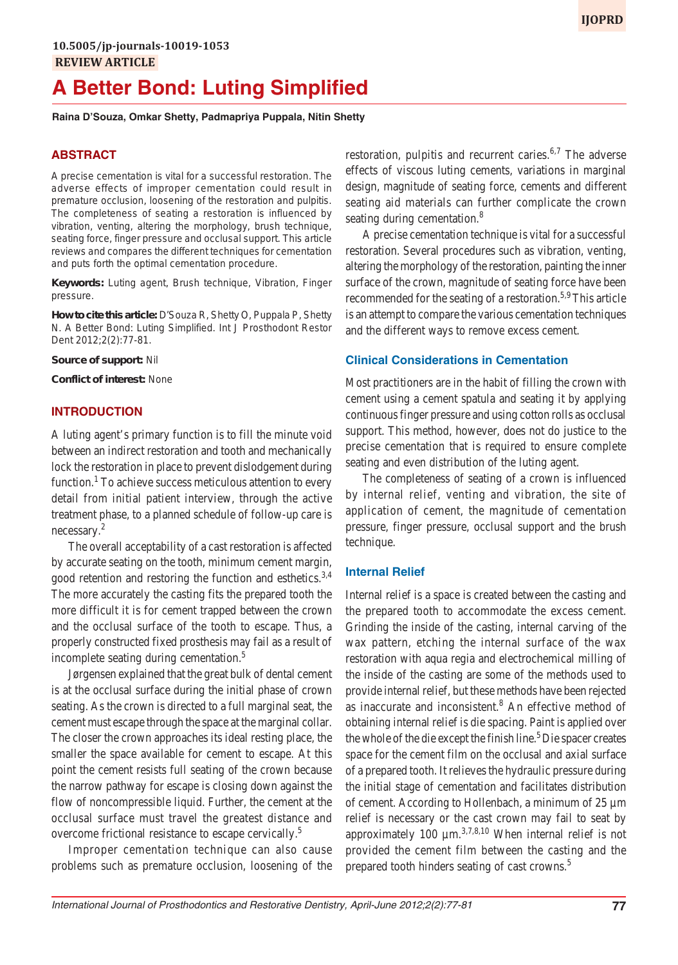# **A Better Bond: Luting Simplified**

**Raina D'Souza, Omkar Shetty, Padmapriya Puppala, Nitin Shetty**

# **ABSTRACT**

A precise cementation is vital for a successful restoration. The adverse effects of improper cementation could result in premature occlusion, loosening of the restoration and pulpitis. The completeness of seating a restoration is influenced by vibration, venting, altering the morphology, brush technique, seating force, finger pressure and occlusal support. This article reviews and compares the different techniques for cementation and puts forth the optimal cementation procedure.

**Keywords:** Luting agent, Brush technique, Vibration, Finger pressure.

**How to cite this article:** D'Souza R, Shetty O, Puppala P, Shetty N. A Better Bond: Luting Simplified. Int J Prosthodont Restor Dent 2012;2(2):77-81.

**Source of support:** Nil

**Conflict of interest:** None

# **INTRODUCTION**

A luting agent's primary function is to fill the minute void between an indirect restoration and tooth and mechanically lock the restoration in place to prevent dislodgement during function.<sup>1</sup> To achieve success meticulous attention to every detail from initial patient interview, through the active treatment phase, to a planned schedule of follow-up care is necessary.2

The overall acceptability of a cast restoration is affected by accurate seating on the tooth, minimum cement margin, good retention and restoring the function and esthetics.<sup>3,4</sup> The more accurately the casting fits the prepared tooth the more difficult it is for cement trapped between the crown and the occlusal surface of the tooth to escape. Thus, a properly constructed fixed prosthesis may fail as a result of incomplete seating during cementation.<sup>5</sup>

Jørgensen explained that the great bulk of dental cement is at the occlusal surface during the initial phase of crown seating. As the crown is directed to a full marginal seat, the cement must escape through the space at the marginal collar. The closer the crown approaches its ideal resting place, the smaller the space available for cement to escape. At this point the cement resists full seating of the crown because the narrow pathway for escape is closing down against the flow of noncompressible liquid. Further, the cement at the occlusal surface must travel the greatest distance and overcome frictional resistance to escape cervically.<sup>5</sup>

Improper cementation technique can also cause problems such as premature occlusion, loosening of the restoration, pulpitis and recurrent caries. $6,7$  The adverse effects of viscous luting cements, variations in marginal design, magnitude of seating force, cements and different seating aid materials can further complicate the crown seating during cementation.<sup>8</sup>

A precise cementation technique is vital for a successful restoration. Several procedures such as vibration, venting, altering the morphology of the restoration, painting the inner surface of the crown, magnitude of seating force have been recommended for the seating of a restoration.<sup>5,9</sup> This article is an attempt to compare the various cementation techniques and the different ways to remove excess cement.

# **Clinical Considerations in Cementation**

Most practitioners are in the habit of filling the crown with cement using a cement spatula and seating it by applying continuous finger pressure and using cotton rolls as occlusal support. This method, however, does not do justice to the precise cementation that is required to ensure complete seating and even distribution of the luting agent.

The completeness of seating of a crown is influenced by internal relief, venting and vibration, the site of application of cement, the magnitude of cementation pressure, finger pressure, occlusal support and the brush technique.

#### **Internal Relief**

Internal relief is a space is created between the casting and the prepared tooth to accommodate the excess cement. Grinding the inside of the casting, internal carving of the wax pattern, etching the internal surface of the wax restoration with aqua regia and electrochemical milling of the inside of the casting are some of the methods used to provide internal relief, but these methods have been rejected as inaccurate and inconsistent.<sup>8</sup> An effective method of obtaining internal relief is die spacing. Paint is applied over the whole of the die except the finish line.<sup>5</sup> Die spacer creates space for the cement film on the occlusal and axial surface of a prepared tooth. It relieves the hydraulic pressure during the initial stage of cementation and facilitates distribution of cement. According to Hollenbach, a minimum of 25 µm relief is necessary or the cast crown may fail to seat by approximately 100  $\mu$ m.<sup>3,7,8,10</sup> When internal relief is not provided the cement film between the casting and the prepared tooth hinders seating of cast crowns.5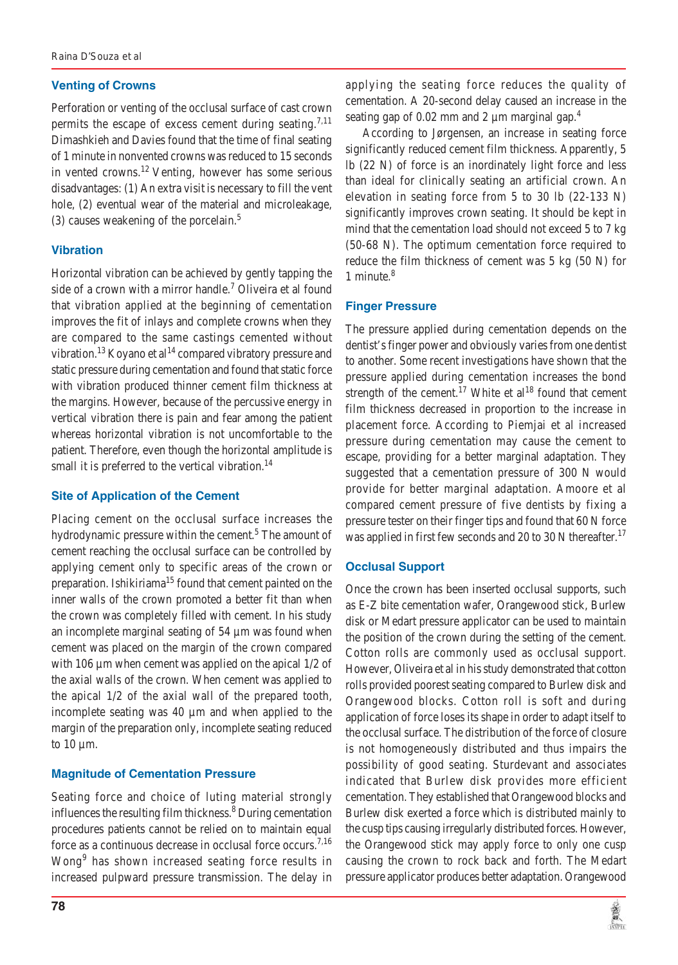#### **Venting of Crowns**

Perforation or venting of the occlusal surface of cast crown permits the escape of excess cement during seating.<sup>7,11</sup> Dimashkieh and Davies found that the time of final seating of 1 minute in nonvented crowns was reduced to 15 seconds in vented crowns.<sup>12</sup> Venting, however has some serious disadvantages: (1) An extra visit is necessary to fill the vent hole, (2) eventual wear of the material and microleakage, (3) causes weakening of the porcelain.<sup>5</sup>

# **Vibration**

Horizontal vibration can be achieved by gently tapping the side of a crown with a mirror handle.<sup>7</sup> Oliveira et al found that vibration applied at the beginning of cementation improves the fit of inlays and complete crowns when they are compared to the same castings cemented without vibration.<sup>13</sup> Koyano et al<sup>14</sup> compared vibratory pressure and static pressure during cementation and found that static force with vibration produced thinner cement film thickness at the margins. However, because of the percussive energy in vertical vibration there is pain and fear among the patient whereas horizontal vibration is not uncomfortable to the patient. Therefore, even though the horizontal amplitude is small it is preferred to the vertical vibration. $^{14}$ 

#### **Site of Application of the Cement**

Placing cement on the occlusal surface increases the hydrodynamic pressure within the cement.<sup>5</sup> The amount of cement reaching the occlusal surface can be controlled by applying cement only to specific areas of the crown or preparation. Ishikiriama<sup>15</sup> found that cement painted on the inner walls of the crown promoted a better fit than when the crown was completely filled with cement. In his study an incomplete marginal seating of 54 µm was found when cement was placed on the margin of the crown compared with 106 µm when cement was applied on the apical 1/2 of the axial walls of the crown. When cement was applied to the apical 1/2 of the axial wall of the prepared tooth, incomplete seating was 40 µm and when applied to the margin of the preparation only, incomplete seating reduced to 10 µm.

#### **Magnitude of Cementation Pressure**

Seating force and choice of luting material strongly influences the resulting film thickness.<sup>8</sup> During cementation procedures patients cannot be relied on to maintain equal force as a continuous decrease in occlusal force occurs.<sup>7,16</sup> Wong<sup>9</sup> has shown increased seating force results in increased pulpward pressure transmission. The delay in

According to Jørgensen, an increase in seating force significantly reduced cement film thickness. Apparently, 5 lb (22 N) of force is an inordinately light force and less than ideal for clinically seating an artificial crown. An elevation in seating force from 5 to 30 lb (22-133 N) significantly improves crown seating. It should be kept in mind that the cementation load should not exceed 5 to 7 kg (50-68 N). The optimum cementation force required to reduce the film thickness of cement was 5 kg (50 N) for 1 minute.<sup>8</sup>

#### **Finger Pressure**

The pressure applied during cementation depends on the dentist's finger power and obviously varies from one dentist to another. Some recent investigations have shown that the pressure applied during cementation increases the bond strength of the cement.<sup>17</sup> White et al<sup>18</sup> found that cement film thickness decreased in proportion to the increase in placement force. According to Piemjai et al increased pressure during cementation may cause the cement to escape, providing for a better marginal adaptation. They suggested that a cementation pressure of 300 N would provide for better marginal adaptation. Amoore et al compared cement pressure of five dentists by fixing a pressure tester on their finger tips and found that 60 N force was applied in first few seconds and 20 to 30 N thereafter.<sup>17</sup>

#### **Occlusal Support**

Once the crown has been inserted occlusal supports, such as E-Z bite cementation wafer, Orangewood stick, Burlew disk or Medart pressure applicator can be used to maintain the position of the crown during the setting of the cement. Cotton rolls are commonly used as occlusal support. However, Oliveira et al in his study demonstrated that cotton rolls provided poorest seating compared to Burlew disk and Orangewood blocks. Cotton roll is soft and during application of force loses its shape in order to adapt itself to the occlusal surface. The distribution of the force of closure is not homogeneously distributed and thus impairs the possibility of good seating. Sturdevant and associates indicated that Burlew disk provides more efficient cementation. They established that Orangewood blocks and Burlew disk exerted a force which is distributed mainly to the cusp tips causing irregularly distributed forces. However, the Orangewood stick may apply force to only one cusp causing the crown to rock back and forth. The Medart pressure applicator produces better adaptation. Orangewood

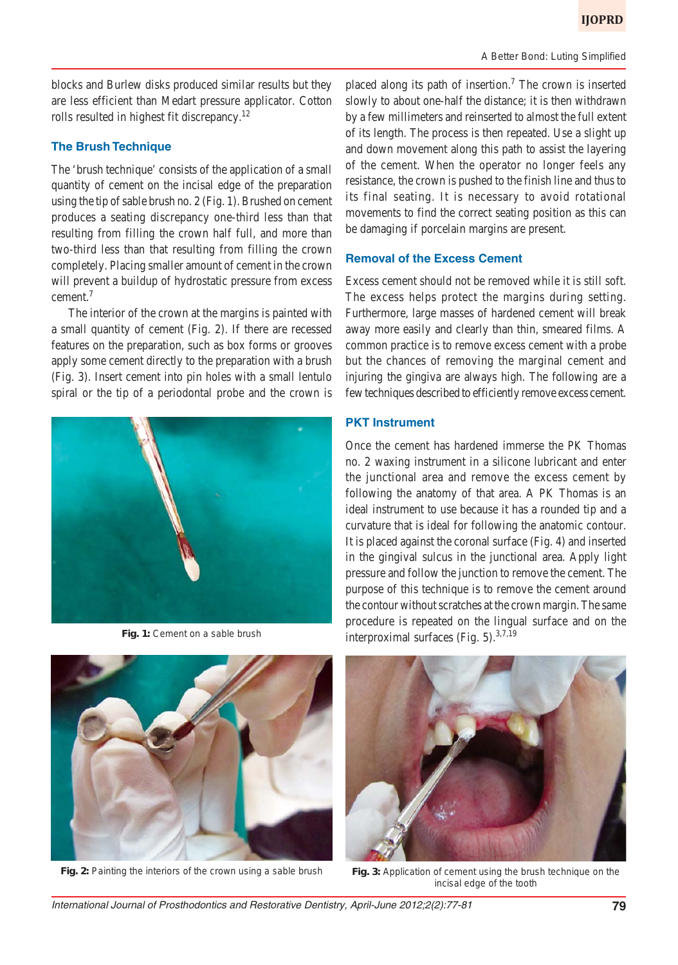blocks and Burlew disks produced similar results but they are less efficient than Medart pressure applicator. Cotton rolls resulted in highest fit discrepancy.<sup>12</sup>

# **The Brush Technique**

The 'brush technique' consists of the application of a small quantity of cement on the incisal edge of the preparation using the tip of sable brush no. 2 (Fig. 1). Brushed on cement produces a seating discrepancy one-third less than that resulting from filling the crown half full, and more than two-third less than that resulting from filling the crown completely. Placing smaller amount of cement in the crown will prevent a buildup of hydrostatic pressure from excess cement.7

The interior of the crown at the margins is painted with a small quantity of cement (Fig. 2). If there are recessed features on the preparation, such as box forms or grooves apply some cement directly to the preparation with a brush (Fig. 3). Insert cement into pin holes with a small lentulo spiral or the tip of a periodontal probe and the crown is





Fig. 2: Painting the interiors of the crown using a sable brush Fig. 3: Application of cement using the brush technique on the

placed along its path of insertion.<sup>7</sup> The crown is inserted slowly to about one-half the distance; it is then withdrawn by a few millimeters and reinserted to almost the full extent of its length. The process is then repeated. Use a slight up and down movement along this path to assist the layering of the cement. When the operator no longer feels any resistance, the crown is pushed to the finish line and thus to its final seating. It is necessary to avoid rotational movements to find the correct seating position as this can be damaging if porcelain margins are present.

#### **Removal of the Excess Cement**

Excess cement should not be removed while it is still soft. The excess helps protect the margins during setting. Furthermore, large masses of hardened cement will break away more easily and clearly than thin, smeared films. A common practice is to remove excess cement with a probe but the chances of removing the marginal cement and injuring the gingiva are always high. The following are a few techniques described to efficiently remove excess cement.

#### **PKT Instrument**

Once the cement has hardened immerse the PK Thomas no. 2 waxing instrument in a silicone lubricant and enter the junctional area and remove the excess cement by following the anatomy of that area. A PK Thomas is an ideal instrument to use because it has a rounded tip and a curvature that is ideal for following the anatomic contour. It is placed against the coronal surface (Fig. 4) and inserted in the gingival sulcus in the junctional area. Apply light pressure and follow the junction to remove the cement. The purpose of this technique is to remove the cement around the contour without scratches at the crown margin. The same procedure is repeated on the lingual surface and on the **Fig. 1:** Cement on a sable brush  $\frac{1}{2}$  interproximal surfaces (Fig. 5).  $3,7,19$ 



incisal edge of the tooth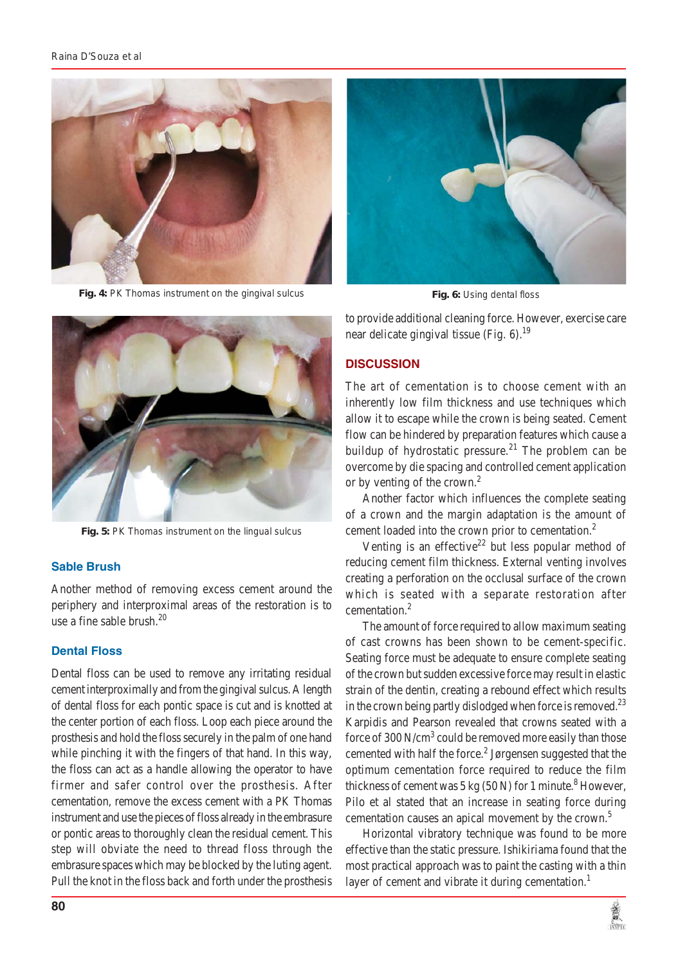

**Fig. 4:** PK Thomas instrument on the gingival sulcus



**Fig. 5:** PK Thomas instrument on the lingual sulcus

# **Sable Brush**

Another method of removing excess cement around the periphery and interproximal areas of the restoration is to use a fine sable brush. $^{20}$ 

# **Dental Floss**

Dental floss can be used to remove any irritating residual cement interproximally and from the gingival sulcus. A length of dental floss for each pontic space is cut and is knotted at the center portion of each floss. Loop each piece around the prosthesis and hold the floss securely in the palm of one hand while pinching it with the fingers of that hand. In this way, the floss can act as a handle allowing the operator to have firmer and safer control over the prosthesis. After cementation, remove the excess cement with a PK Thomas instrument and use the pieces of floss already in the embrasure or pontic areas to thoroughly clean the residual cement. This step will obviate the need to thread floss through the embrasure spaces which may be blocked by the luting agent. Pull the knot in the floss back and forth under the prosthesis



**Fig. 6:** Using dental floss

to provide additional cleaning force. However, exercise care near delicate gingival tissue (Fig.  $6$ ).<sup>19</sup>

# **DISCUSSION**

The art of cementation is to choose cement with an inherently low film thickness and use techniques which allow it to escape while the crown is being seated. Cement flow can be hindered by preparation features which cause a buildup of hydrostatic pressure.<sup>21</sup> The problem can be overcome by die spacing and controlled cement application or by venting of the crown.<sup>2</sup>

Another factor which influences the complete seating of a crown and the margin adaptation is the amount of cement loaded into the crown prior to cementation.<sup>2</sup>

Venting is an effective<sup>22</sup> but less popular method of reducing cement film thickness. External venting involves creating a perforation on the occlusal surface of the crown which is seated with a separate restoration after cementation.<sup>2</sup>

The amount of force required to allow maximum seating of cast crowns has been shown to be cement-specific. Seating force must be adequate to ensure complete seating of the crown but sudden excessive force may result in elastic strain of the dentin, creating a rebound effect which results in the crown being partly dislodged when force is removed.<sup>23</sup> Karpidis and Pearson revealed that crowns seated with a force of 300 N/cm<sup>3</sup> could be removed more easily than those cemented with half the force.<sup>2</sup> Jørgensen suggested that the optimum cementation force required to reduce the film thickness of cement was  $5 \text{ kg}$  (50 N) for 1 minute.<sup>8</sup> However, Pilo et al stated that an increase in seating force during cementation causes an apical movement by the crown.<sup>5</sup>

Horizontal vibratory technique was found to be more effective than the static pressure. Ishikiriama found that the most practical approach was to paint the casting with a thin layer of cement and vibrate it during cementation.<sup>1</sup>